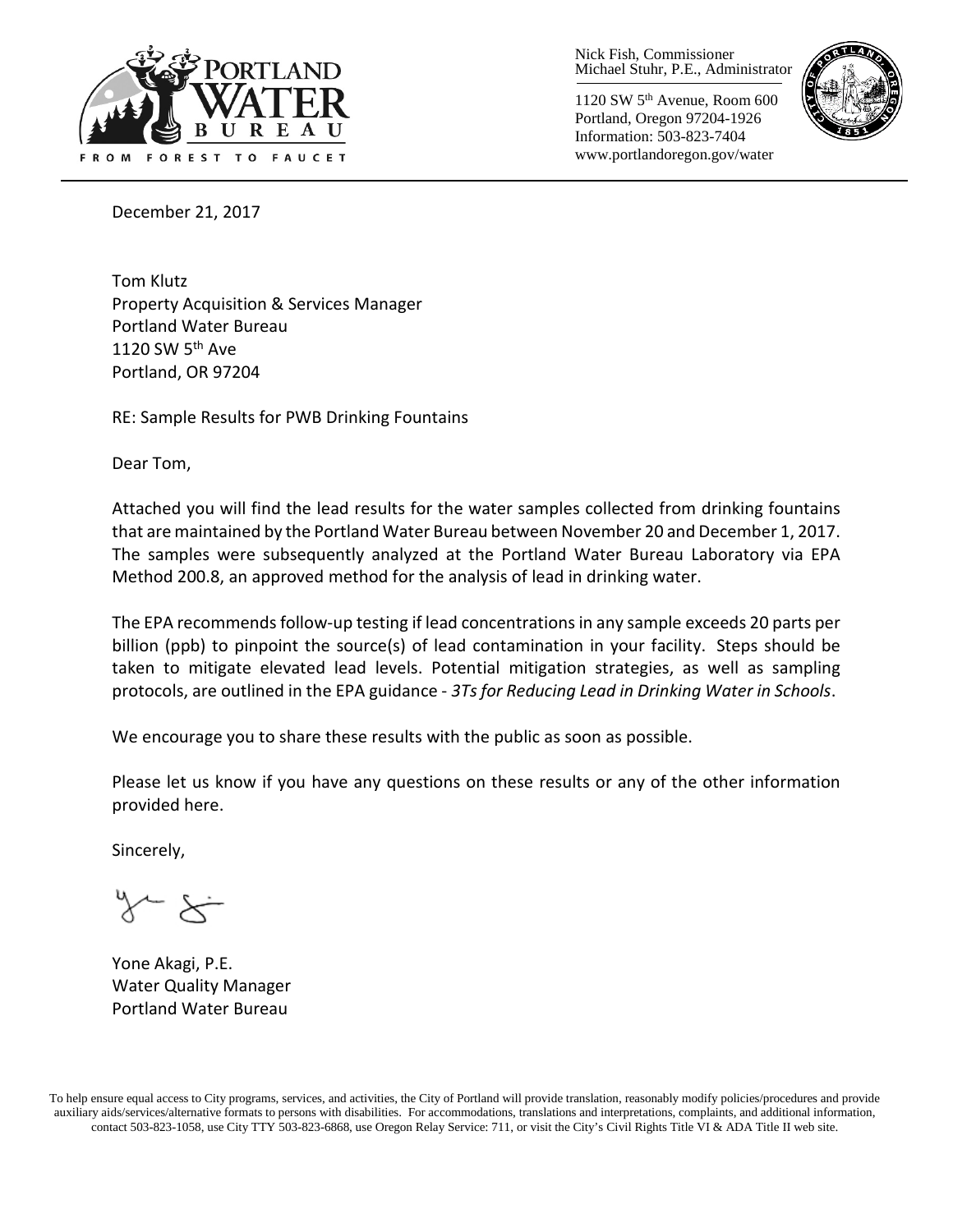

Nick Fish, Commissioner Michael Stuhr, P.E., Administrator

1120 SW 5th Avenue, Room 600 Portland, Oregon 97204-1926 Information: 503-823-7404 www.portlandoregon.gov/water



December 21, 2017

Tom Klutz Property Acquisition & Services Manager Portland Water Bureau 1120 SW  $5<sup>th</sup>$  Ave Portland, OR 97204

RE: Sample Results for PWB Drinking Fountains

Dear Tom,

Attached you will find the lead results for the water samples collected from drinking fountains that are maintained by the Portland Water Bureau between November 20 and December 1, 2017. The samples were subsequently analyzed at the Portland Water Bureau Laboratory via EPA Method 200.8, an approved method for the analysis of lead in drinking water.

The EPA recommends follow-up testing if lead concentrations in any sample exceeds 20 parts per billion (ppb) to pinpoint the source(s) of lead contamination in your facility. Steps should be taken to mitigate elevated lead levels. Potential mitigation strategies, as well as sampling protocols, are outlined in the EPA guidance - *3Ts for Reducing Lead in Drinking Water in Schools*.

We encourage you to share these results with the public as soon as possible.

Please let us know if you have any questions on these results or any of the other information provided here.

Sincerely,

 $\sim$   $\times$ 

Yone Akagi, P.E. Water Quality Manager Portland Water Bureau

To help ensure equal access to City programs, services, and activities, the City of Portland will provide translation, reasonably modify policies/procedures and provide auxiliary aids/services/alternative formats to persons with disabilities. For accommodations, translations and interpretations, complaints, and additional information, contact 503-823-1058, use City TTY 503-823-6868, use Oregon Relay Service: 711, or visi[t the City's Civil Rights Title VI & ADA Title II web site.](http://www.portlandoregon.gov/oehr/66458)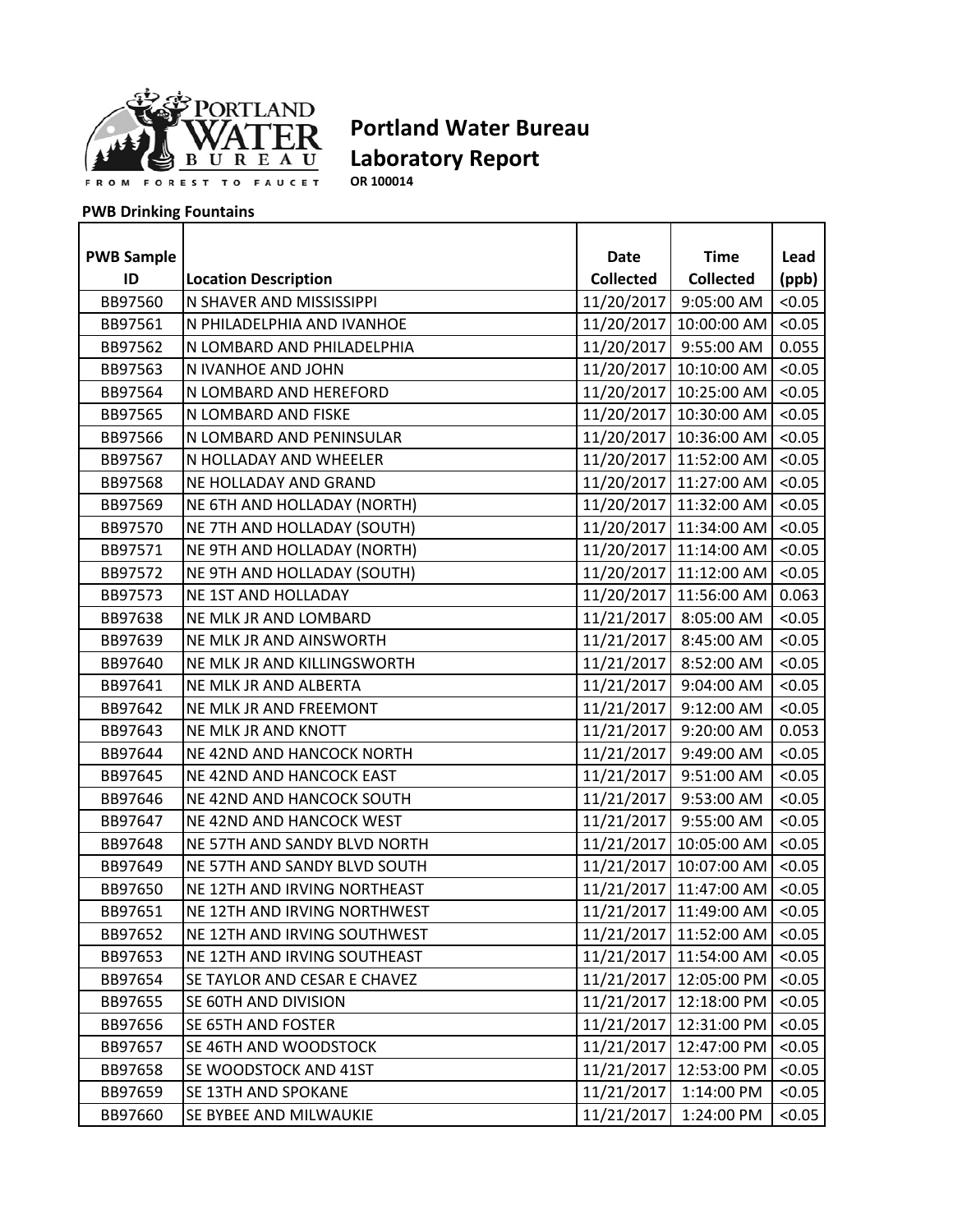

**OR 100014**

| <b>PWB Sample</b> |                              | Date             | <b>Time</b>            | Lead   |
|-------------------|------------------------------|------------------|------------------------|--------|
| ID                | <b>Location Description</b>  | <b>Collected</b> | <b>Collected</b>       | (ppb)  |
| BB97560           | N SHAVER AND MISSISSIPPI     | 11/20/2017       | 9:05:00 AM             | < 0.05 |
| BB97561           | N PHILADELPHIA AND IVANHOE   | 11/20/2017       | 10:00:00 AM            | < 0.05 |
| BB97562           | N LOMBARD AND PHILADELPHIA   |                  | 11/20/2017 9:55:00 AM  | 0.055  |
| BB97563           | N IVANHOE AND JOHN           |                  | 11/20/2017 10:10:00 AM | < 0.05 |
| BB97564           | N LOMBARD AND HEREFORD       |                  | 11/20/2017 10:25:00 AM | < 0.05 |
| BB97565           | N LOMBARD AND FISKE          |                  | 11/20/2017 10:30:00 AM | < 0.05 |
| BB97566           | N LOMBARD AND PENINSULAR     |                  | 11/20/2017 10:36:00 AM | < 0.05 |
| BB97567           | N HOLLADAY AND WHEELER       |                  | 11/20/2017 11:52:00 AM | < 0.05 |
| BB97568           | NE HOLLADAY AND GRAND        |                  | 11/20/2017 11:27:00 AM | < 0.05 |
| BB97569           | NE 6TH AND HOLLADAY (NORTH)  |                  | 11/20/2017 11:32:00 AM | < 0.05 |
| BB97570           | NE 7TH AND HOLLADAY (SOUTH)  |                  | 11/20/2017 11:34:00 AM | < 0.05 |
| BB97571           | NE 9TH AND HOLLADAY (NORTH)  |                  | 11/20/2017 11:14:00 AM | < 0.05 |
| BB97572           | NE 9TH AND HOLLADAY (SOUTH)  |                  | 11/20/2017 11:12:00 AM | < 0.05 |
| BB97573           | NE 1ST AND HOLLADAY          |                  | 11/20/2017 11:56:00 AM | 0.063  |
| BB97638           | NE MLK JR AND LOMBARD        |                  | 11/21/2017 8:05:00 AM  | < 0.05 |
| BB97639           | NE MLK JR AND AINSWORTH      | 11/21/2017       | 8:45:00 AM             | < 0.05 |
| BB97640           | NE MLK JR AND KILLINGSWORTH  | 11/21/2017       | 8:52:00 AM             | < 0.05 |
| BB97641           | NE MLK JR AND ALBERTA        |                  | 11/21/2017 9:04:00 AM  | < 0.05 |
| BB97642           | NE MLK JR AND FREEMONT       |                  | 11/21/2017 9:12:00 AM  | < 0.05 |
| BB97643           | NE MLK JR AND KNOTT          |                  | 11/21/2017 9:20:00 AM  | 0.053  |
| BB97644           | NE 42ND AND HANCOCK NORTH    | 11/21/2017       | 9:49:00 AM             | < 0.05 |
| BB97645           | NE 42ND AND HANCOCK EAST     | 11/21/2017       | 9:51:00 AM             | < 0.05 |
| BB97646           | NE 42ND AND HANCOCK SOUTH    |                  | 11/21/2017 9:53:00 AM  | < 0.05 |
| BB97647           | NE 42ND AND HANCOCK WEST     |                  | 11/21/2017 9:55:00 AM  | < 0.05 |
| BB97648           | NE 57TH AND SANDY BLVD NORTH |                  | 11/21/2017 10:05:00 AM | < 0.05 |
| BB97649           | NE 57TH AND SANDY BLVD SOUTH |                  | 11/21/2017 10:07:00 AM | < 0.05 |
| BB97650           | NE 12TH AND IRVING NORTHEAST |                  | 11/21/2017 11:47:00 AM | < 0.05 |
| BB97651           | NE 12TH AND IRVING NORTHWEST |                  | 11/21/2017 11:49:00 AM | < 0.05 |
| BB97652           | NE 12TH AND IRVING SOUTHWEST |                  | 11/21/2017 11:52:00 AM | < 0.05 |
| BB97653           | NE 12TH AND IRVING SOUTHEAST |                  | 11/21/2017 11:54:00 AM | < 0.05 |
| BB97654           | SE TAYLOR AND CESAR E CHAVEZ | 11/21/2017       | 12:05:00 PM            | < 0.05 |
| BB97655           | SE 60TH AND DIVISION         | 11/21/2017       | 12:18:00 PM            | < 0.05 |
| BB97656           | SE 65TH AND FOSTER           | 11/21/2017       | 12:31:00 PM            | < 0.05 |
| BB97657           | SE 46TH AND WOODSTOCK        | 11/21/2017       | 12:47:00 PM            | < 0.05 |
| BB97658           | SE WOODSTOCK AND 41ST        | 11/21/2017       | 12:53:00 PM            | < 0.05 |
| BB97659           | SE 13TH AND SPOKANE          | 11/21/2017       | 1:14:00 PM             | < 0.05 |
| BB97660           | SE BYBEE AND MILWAUKIE       | 11/21/2017       | 1:24:00 PM             | < 0.05 |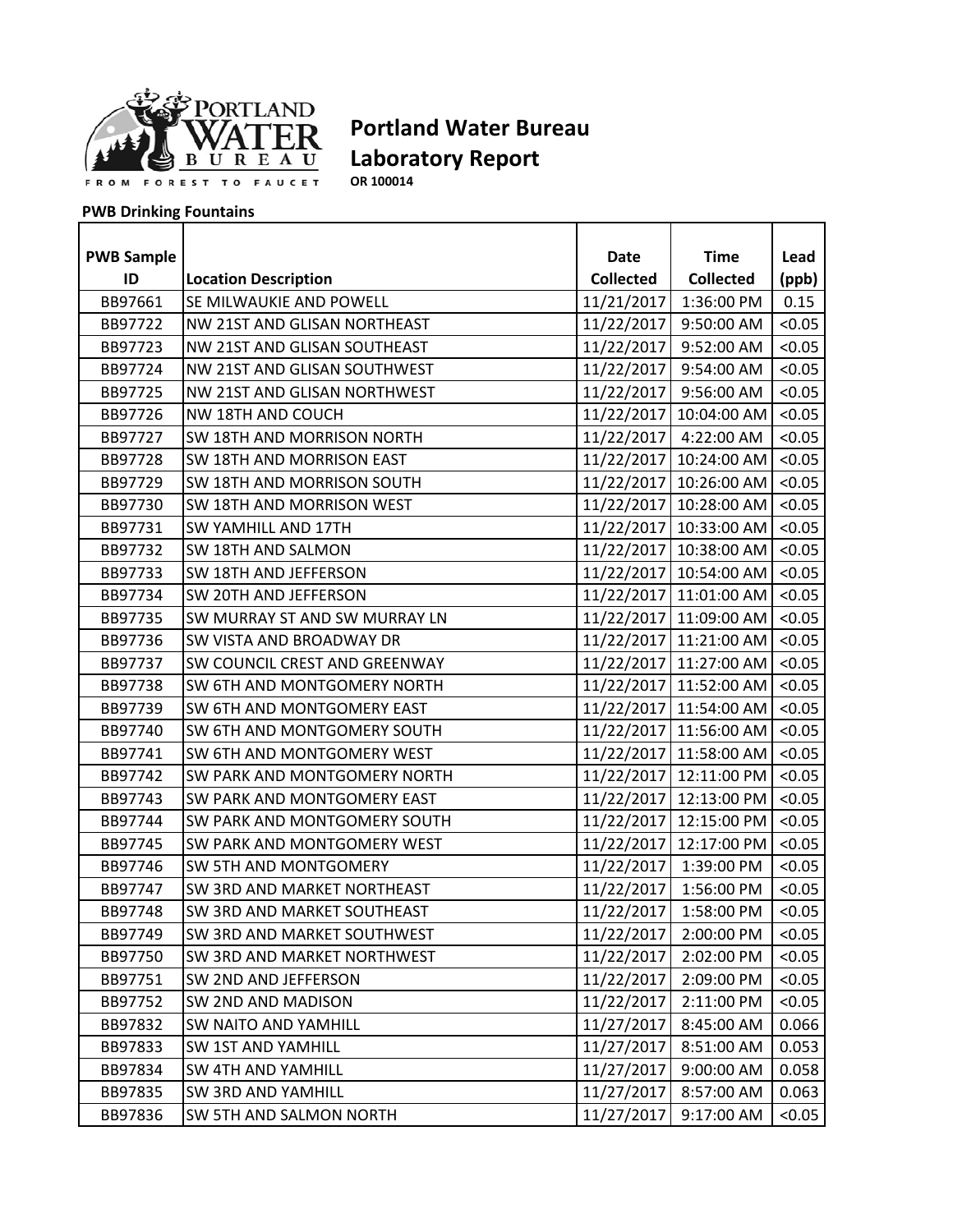

**OR 100014**

| <b>PWB Sample</b> |                               | <b>Date</b>      | <b>Time</b>                       | Lead   |
|-------------------|-------------------------------|------------------|-----------------------------------|--------|
| ID                | <b>Location Description</b>   | <b>Collected</b> | <b>Collected</b>                  | (ppb)  |
| BB97661           | SE MILWAUKIE AND POWELL       |                  | 11/21/2017 1:36:00 PM             | 0.15   |
| BB97722           | NW 21ST AND GLISAN NORTHEAST  | 11/22/2017       | 9:50:00 AM                        | < 0.05 |
| BB97723           | NW 21ST AND GLISAN SOUTHEAST  | 11/22/2017       | 9:52:00 AM                        | < 0.05 |
| BB97724           | NW 21ST AND GLISAN SOUTHWEST  |                  | 11/22/2017 9:54:00 AM             | < 0.05 |
| BB97725           | NW 21ST AND GLISAN NORTHWEST  |                  | 11/22/2017 9:56:00 AM             | < 0.05 |
| BB97726           | NW 18TH AND COUCH             |                  | 11/22/2017 10:04:00 AM            | < 0.05 |
| BB97727           | SW 18TH AND MORRISON NORTH    |                  | 11/22/2017 4:22:00 AM             | < 0.05 |
| BB97728           | SW 18TH AND MORRISON EAST     |                  | 11/22/2017   10:24:00 AM   < 0.05 |        |
| BB97729           | SW 18TH AND MORRISON SOUTH    |                  | 11/22/2017 10:26:00 AM            | < 0.05 |
| BB97730           | SW 18TH AND MORRISON WEST     |                  | 11/22/2017 10:28:00 AM            | < 0.05 |
| BB97731           | <b>SW YAMHILL AND 17TH</b>    |                  | 11/22/2017   10:33:00 AM   <0.05  |        |
| BB97732           | SW 18TH AND SALMON            |                  | 11/22/2017 10:38:00 AM            | < 0.05 |
| BB97733           | SW 18TH AND JEFFERSON         |                  | 11/22/2017 10:54:00 AM <0.05      |        |
| BB97734           | SW 20TH AND JEFFERSON         |                  | 11/22/2017 11:01:00 AM <0.05      |        |
| BB97735           | SW MURRAY ST AND SW MURRAY LN |                  | 11/22/2017 11:09:00 AM            | < 0.05 |
| BB97736           | SW VISTA AND BROADWAY DR      |                  | 11/22/2017 11:21:00 AM            | < 0.05 |
| BB97737           | SW COUNCIL CREST AND GREENWAY |                  | 11/22/2017 11:27:00 AM            | < 0.05 |
| BB97738           | SW 6TH AND MONTGOMERY NORTH   |                  | 11/22/2017 11:52:00 AM <0.05      |        |
| BB97739           | SW 6TH AND MONTGOMERY EAST    |                  | 11/22/2017 11:54:00 AM            | < 0.05 |
| BB97740           | SW 6TH AND MONTGOMERY SOUTH   |                  | 11/22/2017 11:56:00 AM <0.05      |        |
| BB97741           | SW 6TH AND MONTGOMERY WEST    |                  | 11/22/2017   11:58:00 AM          | < 0.05 |
| BB97742           | SW PARK AND MONTGOMERY NORTH  |                  | 11/22/2017 12:11:00 PM            | < 0.05 |
| BB97743           | SW PARK AND MONTGOMERY EAST   |                  | 11/22/2017 12:13:00 PM            | < 0.05 |
| BB97744           | SW PARK AND MONTGOMERY SOUTH  |                  | 11/22/2017 12:15:00 PM            | < 0.05 |
| BB97745           | SW PARK AND MONTGOMERY WEST   |                  | 11/22/2017 12:17:00 PM            | < 0.05 |
| BB97746           | SW 5TH AND MONTGOMERY         |                  | 11/22/2017 1:39:00 PM             | < 0.05 |
| BB97747           | SW 3RD AND MARKET NORTHEAST   |                  | 11/22/2017 1:56:00 PM             | < 0.05 |
| BB97748           | SW 3RD AND MARKET SOUTHEAST   |                  | 11/22/2017 1:58:00 PM             | < 0.05 |
| BB97749           | SW 3RD AND MARKET SOUTHWEST   | 11/22/2017       | 2:00:00 PM                        | < 0.05 |
| BB97750           | SW 3RD AND MARKET NORTHWEST   | 11/22/2017       | 2:02:00 PM                        | < 0.05 |
| BB97751           | SW 2ND AND JEFFERSON          | 11/22/2017       | 2:09:00 PM                        | < 0.05 |
| BB97752           | SW 2ND AND MADISON            | 11/22/2017       | 2:11:00 PM                        | < 0.05 |
| BB97832           | SW NAITO AND YAMHILL          | 11/27/2017       | 8:45:00 AM                        | 0.066  |
| BB97833           | SW 1ST AND YAMHILL            | 11/27/2017       | 8:51:00 AM                        | 0.053  |
| BB97834           | SW 4TH AND YAMHILL            | 11/27/2017       | 9:00:00 AM                        | 0.058  |
| BB97835           | SW 3RD AND YAMHILL            | 11/27/2017       | 8:57:00 AM                        | 0.063  |
| BB97836           | SW 5TH AND SALMON NORTH       | 11/27/2017       | 9:17:00 AM                        | < 0.05 |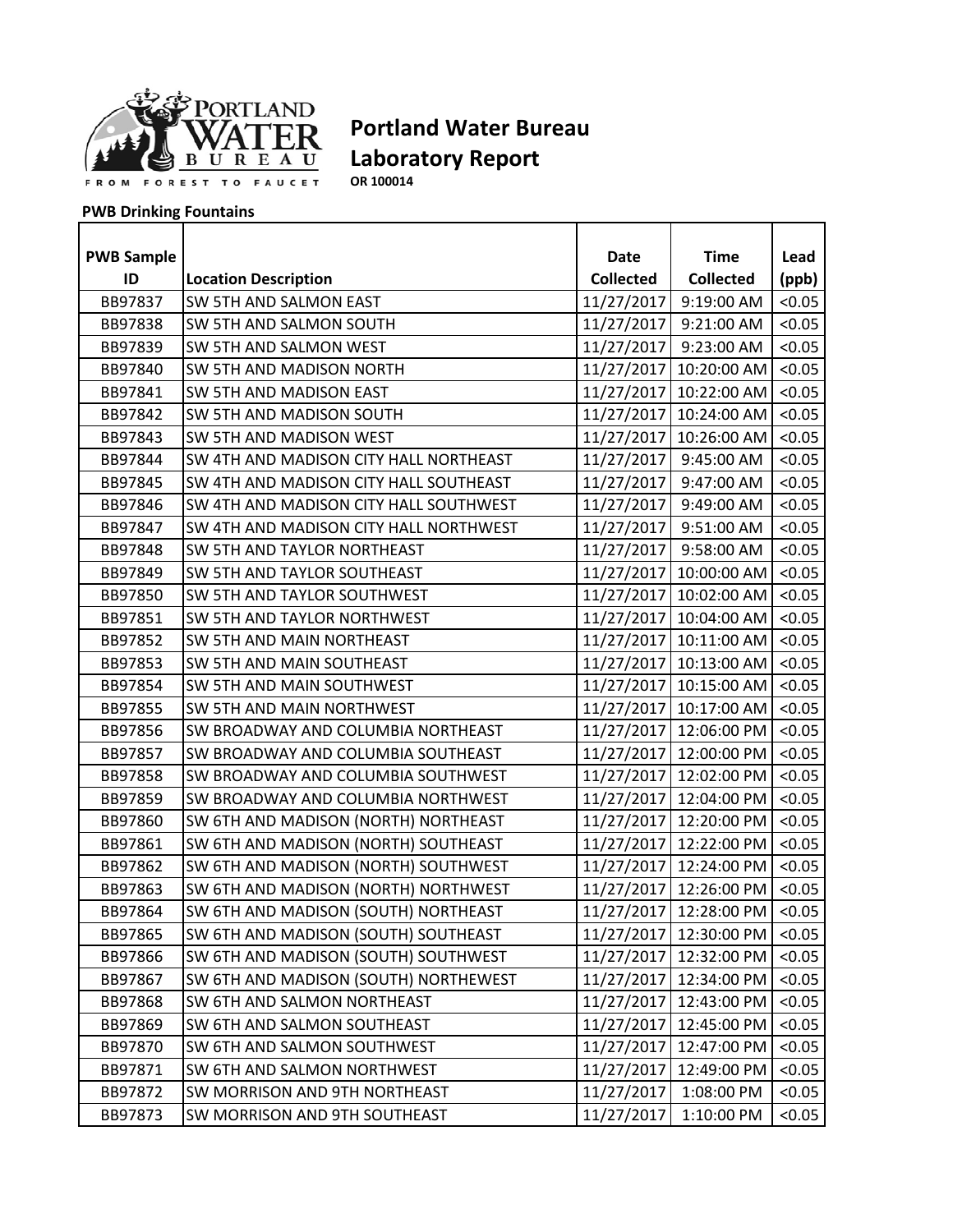

**OR 100014**

| <b>PWB Sample</b> |                                        | Date             | <b>Time</b><br><b>Collected</b> | Lead   |
|-------------------|----------------------------------------|------------------|---------------------------------|--------|
| ID                | <b>Location Description</b>            | <b>Collected</b> |                                 | (ppb)  |
| BB97837           | SW 5TH AND SALMON EAST                 | 11/27/2017       | 9:19:00 AM                      | < 0.05 |
| BB97838           | SW 5TH AND SALMON SOUTH                | 11/27/2017       | 9:21:00 AM                      | < 0.05 |
| BB97839           | SW 5TH AND SALMON WEST                 | 11/27/2017       | 9:23:00 AM                      | < 0.05 |
| BB97840           | SW 5TH AND MADISON NORTH               |                  | 11/27/2017 10:20:00 AM          | < 0.05 |
| BB97841           | SW 5TH AND MADISON EAST                |                  | 11/27/2017 10:22:00 AM          | < 0.05 |
| BB97842           | SW 5TH AND MADISON SOUTH               |                  | 11/27/2017 10:24:00 AM          | < 0.05 |
| BB97843           | SW 5TH AND MADISON WEST                | 11/27/2017       | 10:26:00 AM                     | < 0.05 |
| BB97844           | SW 4TH AND MADISON CITY HALL NORTHEAST |                  | 11/27/2017 9:45:00 AM           | < 0.05 |
| BB97845           | SW 4TH AND MADISON CITY HALL SOUTHEAST | 11/27/2017       | 9:47:00 AM                      | < 0.05 |
| BB97846           | SW 4TH AND MADISON CITY HALL SOUTHWEST | 11/27/2017       | 9:49:00 AM                      | < 0.05 |
| BB97847           | SW 4TH AND MADISON CITY HALL NORTHWEST | 11/27/2017       | 9:51:00 AM                      | < 0.05 |
| BB97848           | SW 5TH AND TAYLOR NORTHEAST            | 11/27/2017       | 9:58:00 AM                      | < 0.05 |
| BB97849           | SW 5TH AND TAYLOR SOUTHEAST            |                  | 11/27/2017 10:00:00 AM          | < 0.05 |
| BB97850           | SW 5TH AND TAYLOR SOUTHWEST            |                  | 11/27/2017 10:02:00 AM          | < 0.05 |
| BB97851           | SW 5TH AND TAYLOR NORTHWEST            |                  | 11/27/2017 10:04:00 AM          | < 0.05 |
| BB97852           | SW 5TH AND MAIN NORTHEAST              |                  | 11/27/2017 10:11:00 AM          | < 0.05 |
| BB97853           | SW 5TH AND MAIN SOUTHEAST              |                  | 11/27/2017 10:13:00 AM          | < 0.05 |
| BB97854           | SW 5TH AND MAIN SOUTHWEST              |                  | 11/27/2017 10:15:00 AM          | < 0.05 |
| BB97855           | SW 5TH AND MAIN NORTHWEST              |                  | 11/27/2017 10:17:00 AM          | < 0.05 |
| BB97856           | SW BROADWAY AND COLUMBIA NORTHEAST     |                  | 11/27/2017 12:06:00 PM          | < 0.05 |
| BB97857           | SW BROADWAY AND COLUMBIA SOUTHEAST     | 11/27/2017       | 12:00:00 PM                     | < 0.05 |
| BB97858           | SW BROADWAY AND COLUMBIA SOUTHWEST     | 11/27/2017       | 12:02:00 PM                     | < 0.05 |
| BB97859           | SW BROADWAY AND COLUMBIA NORTHWEST     |                  | 11/27/2017 12:04:00 PM          | < 0.05 |
| BB97860           | SW 6TH AND MADISON (NORTH) NORTHEAST   |                  | 11/27/2017 12:20:00 PM          | < 0.05 |
| BB97861           | SW 6TH AND MADISON (NORTH) SOUTHEAST   |                  | 11/27/2017 12:22:00 PM          | < 0.05 |
| BB97862           | SW 6TH AND MADISON (NORTH) SOUTHWEST   | 11/27/2017       | 12:24:00 PM                     | < 0.05 |
| BB97863           | SW 6TH AND MADISON (NORTH) NORTHWEST   |                  | 11/27/2017 12:26:00 PM          | < 0.05 |
| BB97864           | SW 6TH AND MADISON (SOUTH) NORTHEAST   | 11/27/2017       | 12:28:00 PM                     | < 0.05 |
| BB97865           | SW 6TH AND MADISON (SOUTH) SOUTHEAST   |                  | 11/27/2017 12:30:00 PM          | < 0.05 |
| BB97866           | SW 6TH AND MADISON (SOUTH) SOUTHWEST   | 11/27/2017       | 12:32:00 PM                     | < 0.05 |
| BB97867           | SW 6TH AND MADISON (SOUTH) NORTHEWEST  | 11/27/2017       | 12:34:00 PM                     | < 0.05 |
| BB97868           | SW 6TH AND SALMON NORTHEAST            | 11/27/2017       | 12:43:00 PM                     | < 0.05 |
| BB97869           | SW 6TH AND SALMON SOUTHEAST            | 11/27/2017       | 12:45:00 PM                     | < 0.05 |
| BB97870           | SW 6TH AND SALMON SOUTHWEST            | 11/27/2017       | 12:47:00 PM                     | < 0.05 |
| BB97871           | SW 6TH AND SALMON NORTHWEST            | 11/27/2017       | 12:49:00 PM                     | < 0.05 |
| BB97872           | SW MORRISON AND 9TH NORTHEAST          | 11/27/2017       | 1:08:00 PM                      | < 0.05 |
| BB97873           | SW MORRISON AND 9TH SOUTHEAST          | 11/27/2017       | 1:10:00 PM                      | < 0.05 |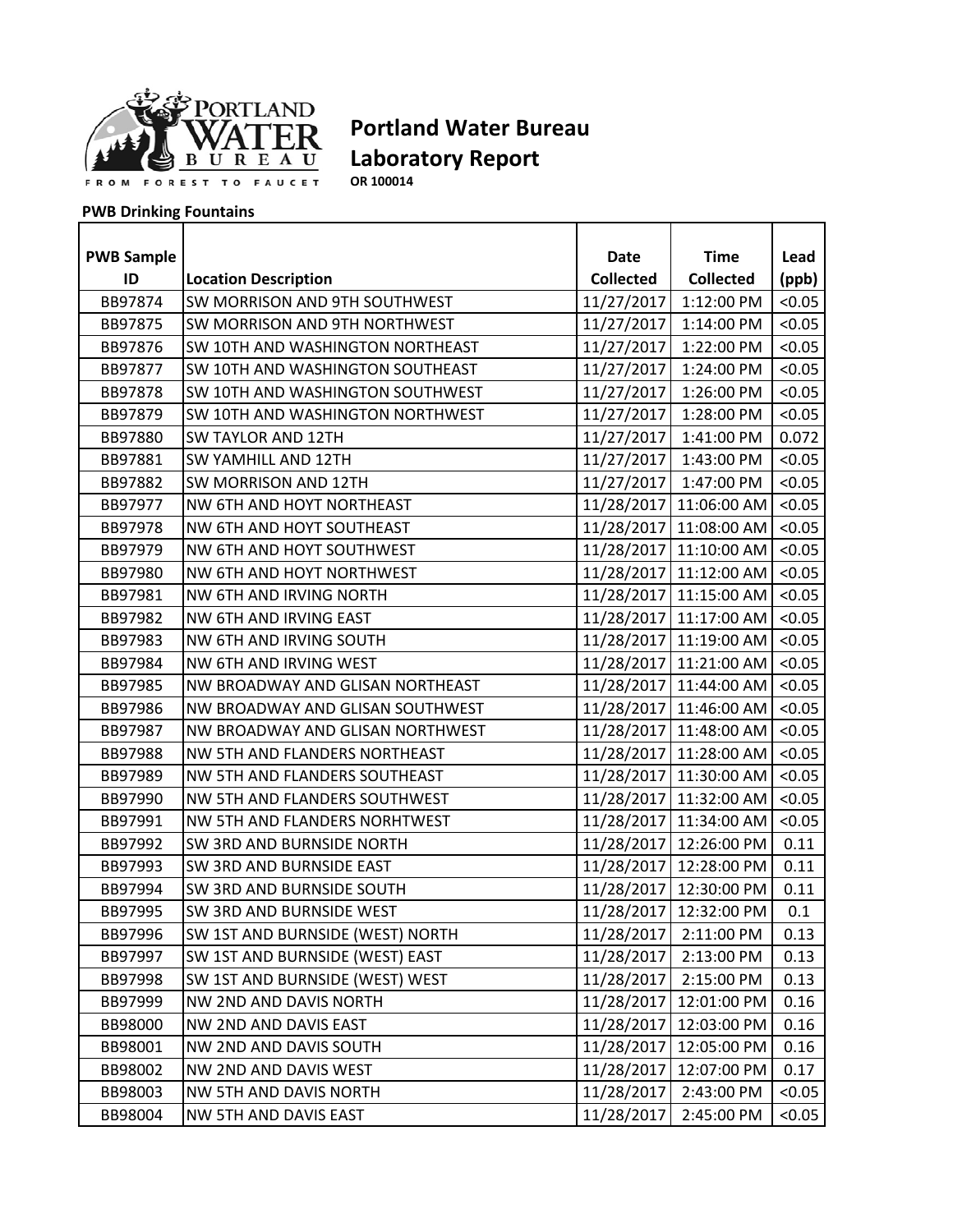

**OR 100014**

| <b>PWB Sample</b> |                                  | <b>Date</b>      | <b>Time</b>                  | Lead   |
|-------------------|----------------------------------|------------------|------------------------------|--------|
| ID                | <b>Location Description</b>      | <b>Collected</b> | <b>Collected</b>             | (ppb)  |
| BB97874           | SW MORRISON AND 9TH SOUTHWEST    | 11/27/2017       | 1:12:00 PM                   | < 0.05 |
| BB97875           | SW MORRISON AND 9TH NORTHWEST    | 11/27/2017       | 1:14:00 PM                   | < 0.05 |
| BB97876           | SW 10TH AND WASHINGTON NORTHEAST | 11/27/2017       | 1:22:00 PM                   | < 0.05 |
|                   |                                  |                  |                              |        |
| BB97877           | SW 10TH AND WASHINGTON SOUTHEAST |                  | 11/27/2017 1:24:00 PM        | < 0.05 |
| BB97878           | SW 10TH AND WASHINGTON SOUTHWEST |                  | 11/27/2017 1:26:00 PM        | < 0.05 |
| BB97879           | SW 10TH AND WASHINGTON NORTHWEST |                  | 11/27/2017 1:28:00 PM        | < 0.05 |
| BB97880           | <b>SW TAYLOR AND 12TH</b>        | 11/27/2017       | 1:41:00 PM                   | 0.072  |
| BB97881           | SW YAMHILL AND 12TH              |                  | 11/27/2017 1:43:00 PM        | < 0.05 |
| BB97882           | SW MORRISON AND 12TH             |                  | 11/27/2017 1:47:00 PM        | < 0.05 |
| BB97977           | NW 6TH AND HOYT NORTHEAST        |                  | 11/28/2017 11:06:00 AM       | < 0.05 |
| BB97978           | <b>NW 6TH AND HOYT SOUTHEAST</b> |                  | 11/28/2017 11:08:00 AM <0.05 |        |
| BB97979           | NW 6TH AND HOYT SOUTHWEST        |                  | 11/28/2017 11:10:00 AM       | < 0.05 |
| BB97980           | NW 6TH AND HOYT NORTHWEST        |                  | 11/28/2017 11:12:00 AM       | < 0.05 |
| BB97981           | NW 6TH AND IRVING NORTH          |                  | 11/28/2017 11:15:00 AM       | < 0.05 |
| BB97982           | NW 6TH AND IRVING EAST           |                  | 11/28/2017 11:17:00 AM       | < 0.05 |
| BB97983           | NW 6TH AND IRVING SOUTH          |                  | 11/28/2017 11:19:00 AM       | < 0.05 |
| BB97984           | NW 6TH AND IRVING WEST           |                  | 11/28/2017 11:21:00 AM       | < 0.05 |
| BB97985           | NW BROADWAY AND GLISAN NORTHEAST |                  | 11/28/2017 11:44:00 AM <0.05 |        |
| BB97986           | NW BROADWAY AND GLISAN SOUTHWEST |                  | 11/28/2017 11:46:00 AM       | < 0.05 |
| BB97987           | NW BROADWAY AND GLISAN NORTHWEST |                  | 11/28/2017 11:48:00 AM <0.05 |        |
| BB97988           | NW 5TH AND FLANDERS NORTHEAST    |                  | 11/28/2017   11:28:00 AM     | < 0.05 |
| BB97989           | NW 5TH AND FLANDERS SOUTHEAST    |                  | 11/28/2017 11:30:00 AM       | < 0.05 |
| BB97990           | NW 5TH AND FLANDERS SOUTHWEST    |                  | 11/28/2017 11:32:00 AM       | < 0.05 |
| BB97991           | NW 5TH AND FLANDERS NORHTWEST    |                  | 11/28/2017 11:34:00 AM       | < 0.05 |
| BB97992           | SW 3RD AND BURNSIDE NORTH        |                  | 11/28/2017 12:26:00 PM       | 0.11   |
| BB97993           | SW 3RD AND BURNSIDE EAST         |                  | 11/28/2017 12:28:00 PM       | 0.11   |
| BB97994           | SW 3RD AND BURNSIDE SOUTH        |                  | 11/28/2017 12:30:00 PM       | 0.11   |
| BB97995           | SW 3RD AND BURNSIDE WEST         |                  | 11/28/2017 12:32:00 PM       | 0.1    |
| BB97996           | SW 1ST AND BURNSIDE (WEST) NORTH | 11/28/2017       | 2:11:00 PM                   | 0.13   |
| BB97997           | SW 1ST AND BURNSIDE (WEST) EAST  | 11/28/2017       | 2:13:00 PM                   | 0.13   |
| BB97998           | SW 1ST AND BURNSIDE (WEST) WEST  | 11/28/2017       | 2:15:00 PM                   | 0.13   |
| BB97999           | NW 2ND AND DAVIS NORTH           | 11/28/2017       | 12:01:00 PM                  | 0.16   |
| BB98000           | NW 2ND AND DAVIS EAST            | 11/28/2017       | 12:03:00 PM                  | 0.16   |
| BB98001           | NW 2ND AND DAVIS SOUTH           | 11/28/2017       | 12:05:00 PM                  | 0.16   |
| BB98002           | NW 2ND AND DAVIS WEST            | 11/28/2017       | 12:07:00 PM                  | 0.17   |
| BB98003           | NW 5TH AND DAVIS NORTH           | 11/28/2017       | 2:43:00 PM                   | < 0.05 |
| BB98004           | NW 5TH AND DAVIS EAST            | 11/28/2017       | 2:45:00 PM                   | < 0.05 |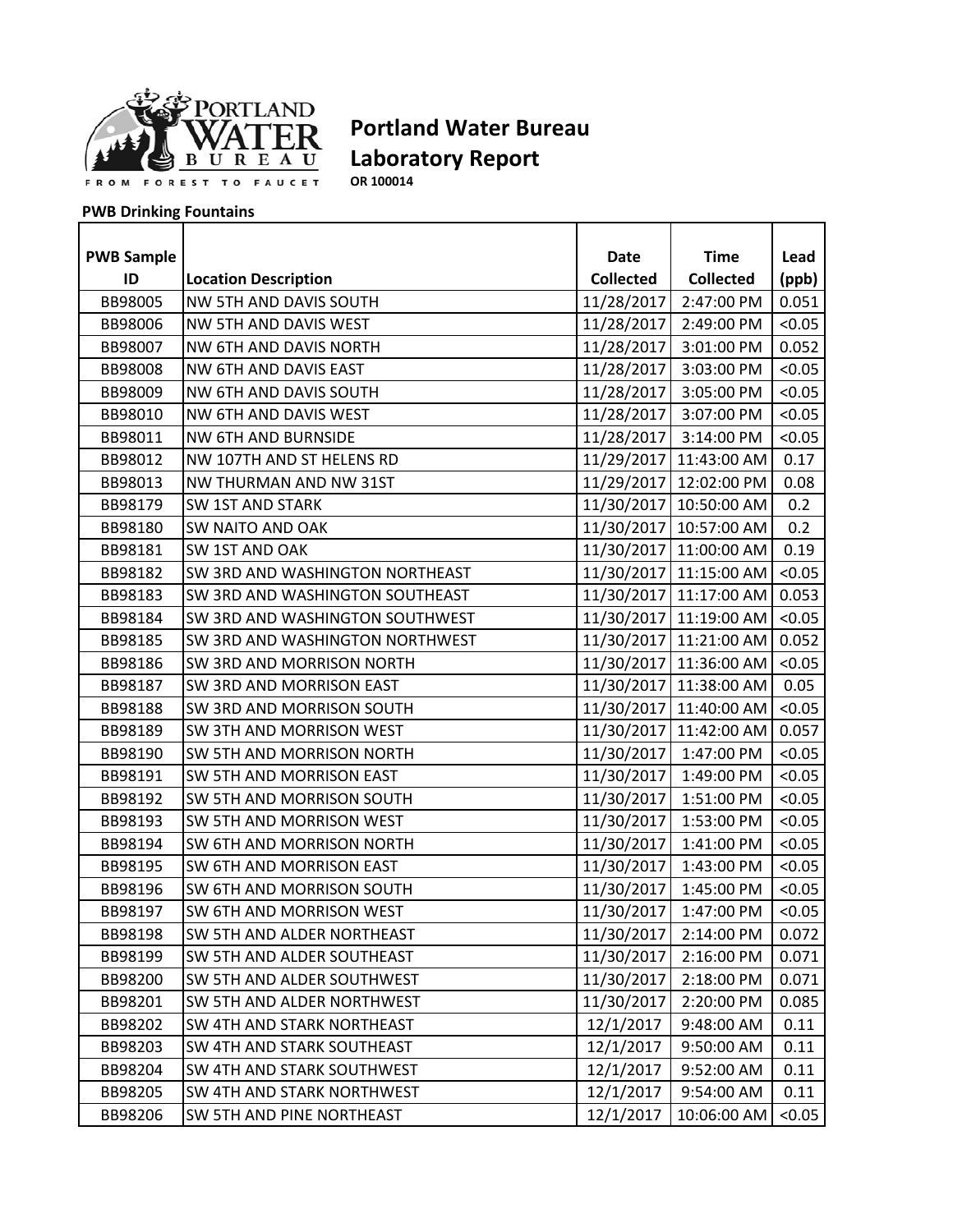

**OR 100014**

| <b>PWB Sample</b> |                                  | Date             | <b>Time</b>                  | Lead   |
|-------------------|----------------------------------|------------------|------------------------------|--------|
| ID                | <b>Location Description</b>      | <b>Collected</b> | <b>Collected</b>             | (ppb)  |
| BB98005           | NW 5TH AND DAVIS SOUTH           | 11/28/2017       | 2:47:00 PM                   | 0.051  |
| BB98006           | NW 5TH AND DAVIS WEST            | 11/28/2017       | 2:49:00 PM                   | < 0.05 |
| BB98007           | NW 6TH AND DAVIS NORTH           | 11/28/2017       | 3:01:00 PM                   | 0.052  |
| BB98008           | NW 6TH AND DAVIS EAST            |                  | 11/28/2017 3:03:00 PM        | < 0.05 |
| BB98009           | NW 6TH AND DAVIS SOUTH           |                  | 11/28/2017 3:05:00 PM        | < 0.05 |
| BB98010           | NW 6TH AND DAVIS WEST            |                  | 11/28/2017 3:07:00 PM        | < 0.05 |
| BB98011           | <b>NW 6TH AND BURNSIDE</b>       |                  | 11/28/2017 3:14:00 PM        | < 0.05 |
| BB98012           | NW 107TH AND ST HELENS RD        |                  | 11/29/2017 11:43:00 AM       | 0.17   |
| BB98013           | NW THURMAN AND NW 31ST           |                  | 11/29/2017 12:02:00 PM       | 0.08   |
| BB98179           | <b>SW 1ST AND STARK</b>          |                  | 11/30/2017 10:50:00 AM       | 0.2    |
| BB98180           | SW NAITO AND OAK                 |                  | 11/30/2017 10:57:00 AM       | 0.2    |
| BB98181           | SW 1ST AND OAK                   |                  | 11/30/2017 11:00:00 AM       | 0.19   |
| BB98182           | SW 3RD AND WASHINGTON NORTHEAST  |                  | 11/30/2017 11:15:00 AM       | < 0.05 |
| BB98183           | SW 3RD AND WASHINGTON SOUTHEAST  |                  | 11/30/2017 11:17:00 AM 0.053 |        |
| BB98184           | SW 3RD AND WASHINGTON SOUTHWEST  |                  | 11/30/2017 11:19:00 AM       | < 0.05 |
| BB98185           | SW 3RD AND WASHINGTON NORTHWEST  |                  | 11/30/2017 11:21:00 AM       | 0.052  |
| BB98186           | SW 3RD AND MORRISON NORTH        |                  | 11/30/2017 11:36:00 AM       | < 0.05 |
| BB98187           | SW 3RD AND MORRISON EAST         |                  | 11/30/2017 11:38:00 AM       | 0.05   |
| BB98188           | SW 3RD AND MORRISON SOUTH        |                  | 11/30/2017 11:40:00 AM       | < 0.05 |
| BB98189           | SW 3TH AND MORRISON WEST         |                  | 11/30/2017 11:42:00 AM       | 0.057  |
| BB98190           | SW 5TH AND MORRISON NORTH        |                  | 11/30/2017 1:47:00 PM        | < 0.05 |
| BB98191           | SW 5TH AND MORRISON EAST         | 11/30/2017       | 1:49:00 PM                   | < 0.05 |
| BB98192           | SW 5TH AND MORRISON SOUTH        |                  | 11/30/2017 1:51:00 PM        | < 0.05 |
| BB98193           | SW 5TH AND MORRISON WEST         |                  | 11/30/2017 1:53:00 PM        | < 0.05 |
| BB98194           | <b>SW 6TH AND MORRISON NORTH</b> |                  | 11/30/2017 1:41:00 PM        | < 0.05 |
| BB98195           | SW 6TH AND MORRISON EAST         | 11/30/2017       | 1:43:00 PM                   | < 0.05 |
| BB98196           | SW 6TH AND MORRISON SOUTH        | 11/30/2017       | 1:45:00 PM                   | < 0.05 |
| BB98197           | SW 6TH AND MORRISON WEST         | 11/30/2017       | 1:47:00 PM                   | < 0.05 |
| BB98198           | SW 5TH AND ALDER NORTHEAST       | 11/30/2017       | 2:14:00 PM                   | 0.072  |
| BB98199           | SW 5TH AND ALDER SOUTHEAST       | 11/30/2017       | 2:16:00 PM                   | 0.071  |
| BB98200           | SW 5TH AND ALDER SOUTHWEST       | 11/30/2017       | 2:18:00 PM                   | 0.071  |
| BB98201           | SW 5TH AND ALDER NORTHWEST       | 11/30/2017       | 2:20:00 PM                   | 0.085  |
| BB98202           | SW 4TH AND STARK NORTHEAST       | 12/1/2017        | 9:48:00 AM                   | 0.11   |
| BB98203           | SW 4TH AND STARK SOUTHEAST       | 12/1/2017        | 9:50:00 AM                   | 0.11   |
| BB98204           | SW 4TH AND STARK SOUTHWEST       | 12/1/2017        | 9:52:00 AM                   | 0.11   |
| BB98205           | SW 4TH AND STARK NORTHWEST       | 12/1/2017        | 9:54:00 AM                   | 0.11   |
| BB98206           | SW 5TH AND PINE NORTHEAST        | 12/1/2017        | 10:06:00 AM                  | < 0.05 |